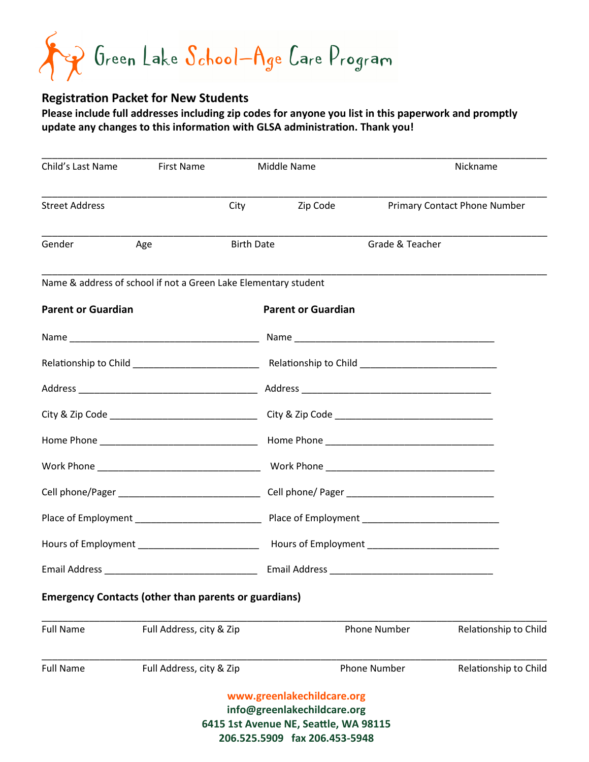Green Lake School-Age Care Program

### **Registration Packet for New Students**

**Please include full addresses including zip codes for anyone you list in this paperwork and promptly update any changes to this information with GLSA administration. Thank you!**

| Child's Last Name                                               | First Name               |                   | Middle Name                                               |                     | Nickname                            |  |
|-----------------------------------------------------------------|--------------------------|-------------------|-----------------------------------------------------------|---------------------|-------------------------------------|--|
| <b>Street Address</b>                                           |                          | City              | Zip Code                                                  |                     | <b>Primary Contact Phone Number</b> |  |
| Gender                                                          | Age                      | <b>Birth Date</b> |                                                           | Grade & Teacher     |                                     |  |
| Name & address of school if not a Green Lake Elementary student |                          |                   |                                                           |                     |                                     |  |
| <b>Parent or Guardian</b>                                       |                          |                   | <b>Parent or Guardian</b>                                 |                     |                                     |  |
|                                                                 |                          |                   |                                                           |                     |                                     |  |
|                                                                 |                          |                   |                                                           |                     |                                     |  |
|                                                                 |                          |                   |                                                           |                     |                                     |  |
|                                                                 |                          |                   |                                                           |                     |                                     |  |
|                                                                 |                          |                   |                                                           |                     |                                     |  |
|                                                                 |                          |                   |                                                           |                     |                                     |  |
|                                                                 |                          |                   |                                                           |                     |                                     |  |
|                                                                 |                          |                   |                                                           |                     |                                     |  |
|                                                                 |                          |                   |                                                           |                     |                                     |  |
|                                                                 |                          |                   |                                                           |                     |                                     |  |
| <b>Emergency Contacts (other than parents or guardians)</b>     |                          |                   |                                                           |                     |                                     |  |
| <b>Full Name</b>                                                | Full Address, city & Zip |                   |                                                           | <b>Phone Number</b> | Relationship to Child               |  |
| <b>Full Name</b>                                                | Full Address, city & Zip |                   |                                                           | <b>Phone Number</b> | Relationship to Child               |  |
|                                                                 |                          |                   | www.greenlakechildcare.org<br>info@greenlakechildcare.org |                     |                                     |  |

**6415 1st Avenue NE, Seattle, WA 98115** 

**206.525.5909 fax 206.453-5948**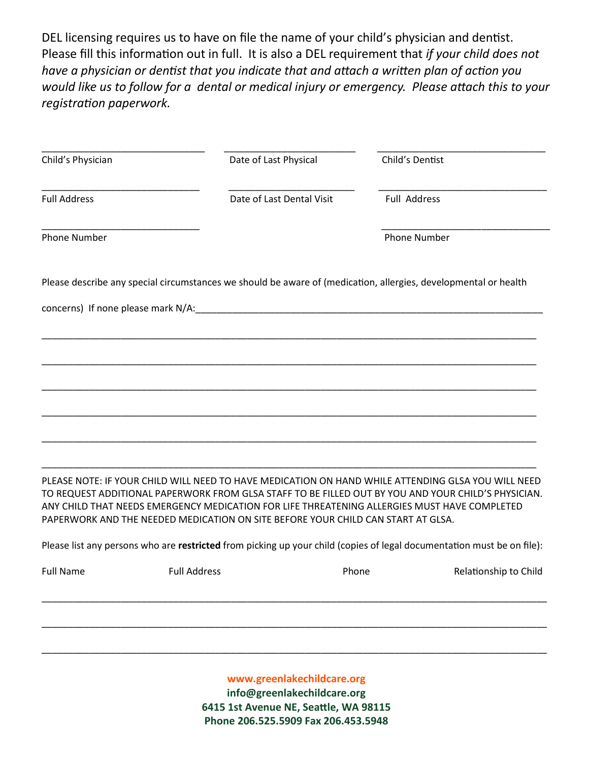DEL licensing requires us to have on file the name of your child's physician and dentist. Please fill this information out in full. It is also a DEL requirement that *if your child does not have a physician or dentist that you indicate that and attach a written plan of action you would like us to follow for a dental or medical injury or emergency. Please attach this to your registration paperwork.* 

| Child's Physician          | Date of Last Physical                                                                                                                                                                                                                                                                  |                           | Child's Dentist                                                                                                        |  |  |  |
|----------------------------|----------------------------------------------------------------------------------------------------------------------------------------------------------------------------------------------------------------------------------------------------------------------------------------|---------------------------|------------------------------------------------------------------------------------------------------------------------|--|--|--|
| <b>Full Address</b>        |                                                                                                                                                                                                                                                                                        | Date of Last Dental Visit | Full Address                                                                                                           |  |  |  |
| <b>Phone Number</b>        |                                                                                                                                                                                                                                                                                        |                           | Phone Number                                                                                                           |  |  |  |
|                            | Please describe any special circumstances we should be aware of (medication, allergies, developmental or health                                                                                                                                                                        |                           |                                                                                                                        |  |  |  |
|                            |                                                                                                                                                                                                                                                                                        |                           |                                                                                                                        |  |  |  |
|                            |                                                                                                                                                                                                                                                                                        |                           |                                                                                                                        |  |  |  |
|                            |                                                                                                                                                                                                                                                                                        |                           |                                                                                                                        |  |  |  |
|                            |                                                                                                                                                                                                                                                                                        |                           |                                                                                                                        |  |  |  |
|                            |                                                                                                                                                                                                                                                                                        |                           |                                                                                                                        |  |  |  |
|                            |                                                                                                                                                                                                                                                                                        |                           |                                                                                                                        |  |  |  |
|                            |                                                                                                                                                                                                                                                                                        |                           |                                                                                                                        |  |  |  |
|                            | PLEASE NOTE: IF YOUR CHILD WILL NEED TO HAVE MEDICATION ON HAND WHILE ATTENDING GLSA YOU WILL NEED<br>ANY CHILD THAT NEEDS EMERGENCY MEDICATION FOR LIFE THREATENING ALLERGIES MUST HAVE COMPLETED<br>PAPERWORK AND THE NEEDED MEDICATION ON SITE BEFORE YOUR CHILD CAN START AT GLSA. |                           | TO REQUEST ADDITIONAL PAPERWORK FROM GLSA STAFF TO BE FILLED OUT BY YOU AND YOUR CHILD'S PHYSICIAN.                    |  |  |  |
|                            |                                                                                                                                                                                                                                                                                        |                           | Please list any persons who are restricted from picking up your child (copies of legal documentation must be on file): |  |  |  |
| <b>Full Name</b>           | <b>Full Address</b>                                                                                                                                                                                                                                                                    | Phone                     | Relationship to Child                                                                                                  |  |  |  |
|                            |                                                                                                                                                                                                                                                                                        |                           |                                                                                                                        |  |  |  |
|                            |                                                                                                                                                                                                                                                                                        |                           |                                                                                                                        |  |  |  |
|                            |                                                                                                                                                                                                                                                                                        |                           |                                                                                                                        |  |  |  |
| www.groonlakechildcare.org |                                                                                                                                                                                                                                                                                        |                           |                                                                                                                        |  |  |  |

**www.greenlakechildcare.org info@greenlakechildcare.org 6415 1st Avenue NE, Seattle, WA 98115 Phone 206.525.5909 Fax 206.453.5948**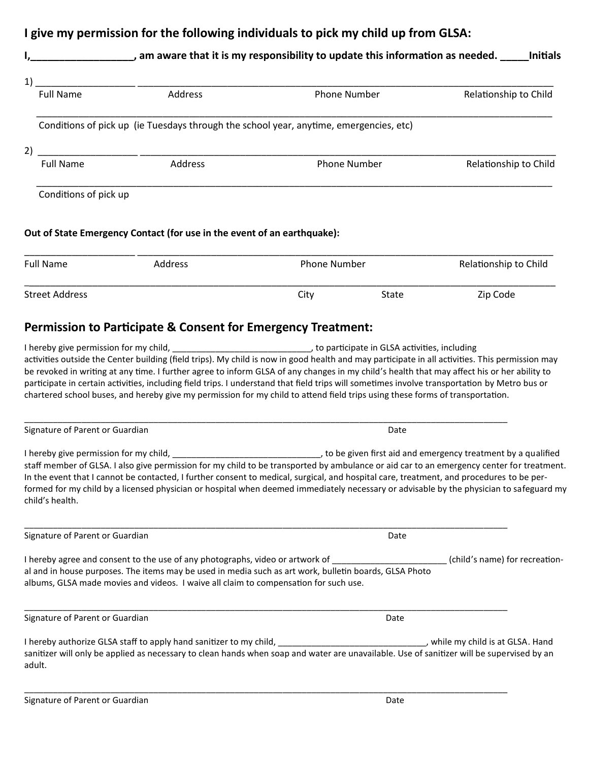### **I give my permission for the following individuals to pick my child up from GLSA:**

# **I,\_\_\_\_\_\_\_\_\_\_\_\_\_\_\_\_\_\_, am aware that it is my responsibility to update this information as needed. \_\_\_\_\_Initials**  1) \_\_\_\_\_\_\_\_\_\_\_\_\_\_\_\_\_\_\_ \_\_\_\_\_\_\_\_\_\_\_\_\_\_\_\_\_\_\_\_\_\_\_\_\_\_\_\_\_\_\_\_\_\_\_\_\_\_\_\_\_\_\_\_\_\_\_\_\_\_\_\_\_\_\_\_\_\_\_\_\_\_\_\_\_\_\_\_\_\_\_\_\_\_\_\_\_\_\_ Full Name **Address** Address **Phone Number** Relationship to Child  $\overline{\phantom{a}}$  , and the contribution of the contribution of the contribution of the contribution of the contribution of the contribution of the contribution of the contribution of the contribution of the contribution of the Conditions of pick up (ie Tuesdays through the school year, anytime, emergencies, etc) 2) \_\_\_\_\_\_\_\_\_\_\_\_\_\_\_\_\_\_\_ \_\_\_\_\_\_\_\_\_\_\_\_\_\_\_\_\_\_\_\_\_\_\_\_\_\_\_\_\_\_\_\_\_\_\_\_\_\_\_\_\_\_\_\_\_\_\_\_\_\_\_\_\_\_\_\_\_\_\_\_\_\_\_\_\_\_\_\_\_\_\_\_\_\_\_\_\_\_\_ Full Name **Address** Address **Phone Number** Relationship to Child  $\overline{\phantom{a}}$  , and the contribution of the contribution of the contribution of the contribution of the contribution of the contribution of the contribution of the contribution of the contribution of the contribution of the Conditions of pick up **Out of State Emergency Contact (for use in the event of an earthquake):** \_\_\_\_\_\_\_\_\_\_\_\_\_\_\_\_\_\_\_\_\_ \_\_\_\_\_\_\_\_\_\_\_\_\_\_\_\_\_\_\_\_\_\_\_\_\_\_\_\_\_\_\_\_\_\_\_\_\_\_\_\_\_\_\_\_\_\_\_\_\_\_\_\_\_\_\_\_\_\_\_\_\_\_\_\_\_\_\_\_\_\_\_\_\_\_\_\_\_\_\_ Full Name **Address** Address **Phone Number** Phone Number Relationship to Child \_\_\_\_\_\_\_\_\_\_\_\_\_\_\_\_\_\_\_\_\_\_\_\_\_\_\_\_\_\_\_\_\_\_\_\_\_\_\_\_\_\_\_\_\_\_\_\_\_\_\_\_\_\_\_\_\_\_\_\_\_\_\_\_\_\_\_\_\_\_\_\_\_\_\_\_\_\_\_\_\_\_\_\_\_\_\_\_\_\_\_\_\_\_\_\_\_\_\_\_\_

#### **Permission to Participate & Consent for Emergency Treatment:**

Signature of Parent or Guardian Date of Parent or Guardian Date of Parent or Guardian Date

I hereby give permission for my child, \_\_\_\_\_\_\_\_\_\_\_\_\_\_\_\_\_\_\_\_\_\_\_\_\_\_\_\_\_\_\_\_\_\_, to participate in GLSA activities, including activities outside the Center building (field trips). My child is now in good health and may participate in all activities. This permission may be revoked in writing at any time. I further agree to inform GLSA of any changes in my child's health that may affect his or her ability to participate in certain activities, including field trips. I understand that field trips will sometimes involve transportation by Metro bus or chartered school buses, and hereby give my permission for my child to attend field trips using these forms of transportation.

\_\_\_\_\_\_\_\_\_\_\_\_\_\_\_\_\_\_\_\_\_\_\_\_\_\_\_\_\_\_\_\_\_\_\_\_\_\_\_\_\_\_\_\_\_\_\_\_\_\_\_\_\_\_\_\_\_\_\_\_\_\_\_\_\_\_\_\_\_\_\_\_\_\_\_\_\_\_\_\_\_\_\_\_\_\_\_\_\_\_\_\_\_\_\_\_\_\_\_\_\_

Street Address and Street Address and Street Address and Street Address and Street Address and Street Address and Street Address and Street Address and Street Address and Street Address and Street Address and Street Addres

\_\_\_\_\_\_\_\_\_\_\_\_\_\_\_\_\_\_\_\_\_\_\_\_\_\_\_\_\_\_\_\_\_\_\_\_\_\_\_\_\_\_\_\_\_\_\_\_\_\_\_\_\_\_\_\_\_\_\_\_\_\_\_\_\_\_\_\_\_\_\_\_\_\_\_\_\_\_\_\_\_\_\_\_\_\_\_\_\_\_\_\_\_\_\_\_\_\_\_\_\_

I hereby give permission for my child, \_\_\_\_\_\_\_\_\_\_\_\_\_\_\_\_\_\_\_\_\_\_\_\_\_\_\_\_\_\_\_, to be given first aid and emergency treatment by a qualified staff member of GLSA. I also give permission for my child to be transported by ambulance or aid car to an emergency center for treatment. In the event that I cannot be contacted, I further consent to medical, surgical, and hospital care, treatment, and procedures to be performed for my child by a licensed physician or hospital when deemed immediately necessary or advisable by the physician to safeguard my child's health.

| Signature of Parent or Guardian                                                                                                                                                                                                                                                 | Date                           |  |
|---------------------------------------------------------------------------------------------------------------------------------------------------------------------------------------------------------------------------------------------------------------------------------|--------------------------------|--|
| I hereby agree and consent to the use of any photographs, video or artwork of<br>al and in house purposes. The items may be used in media such as art work, bulletin boards, GLSA Photo<br>albums, GLSA made movies and videos. I waive all claim to compensation for such use. | (child's name) for recreation- |  |
| Signature of Parent or Guardian                                                                                                                                                                                                                                                 | Date                           |  |

I hereby authorize GLSA staff to apply hand sanitizer to my child, example and the my child is at GLSA. Hand sanitizer will only be applied as necessary to clean hands when soap and water are unavailable. Use of sanitizer will be supervised by an adult.

\_\_\_\_\_\_\_\_\_\_\_\_\_\_\_\_\_\_\_\_\_\_\_\_\_\_\_\_\_\_\_\_\_\_\_\_\_\_\_\_\_\_\_\_\_\_\_\_\_\_\_\_\_\_\_\_\_\_\_\_\_\_\_\_\_\_\_\_\_\_\_\_\_\_\_\_\_\_\_\_\_\_\_\_\_\_\_\_\_\_\_\_\_\_\_\_\_\_\_\_\_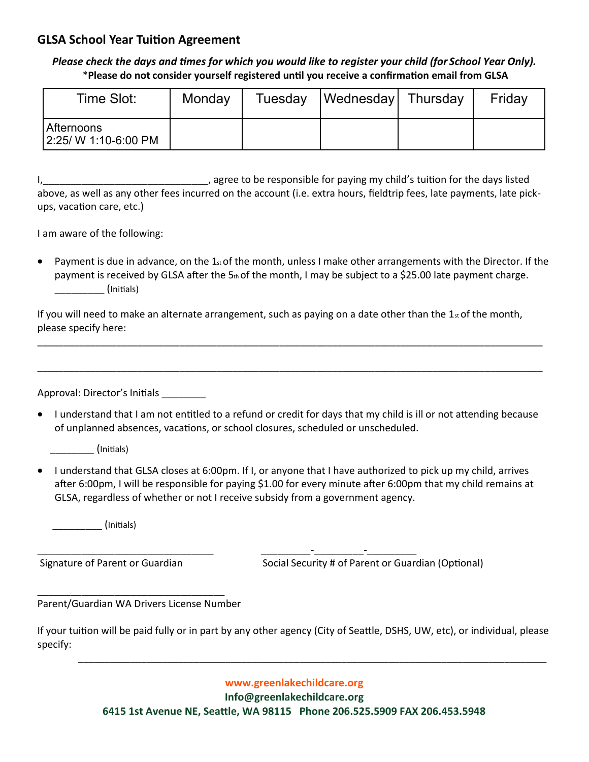#### **GLSA School Year Tuition Agreement**

*Please check the days and times for which you would like to register your child (for School Year Only).* \***Please do not consider yourself registered until you receive a confirmation email from GLSA** 

| Time Slot:                         | Monday | Tuesday   Wednesday   Thursday | Friday |
|------------------------------------|--------|--------------------------------|--------|
| Afternoons<br>2:25/ W 1:10-6:00 PM |        |                                |        |

I, Let the same of the same of the same of the same of the days listed in the days listed in the days listed above, as well as any other fees incurred on the account (i.e. extra hours, fieldtrip fees, late payments, late pickups, vacation care, etc.)

I am aware of the following:

• Payment is due in advance, on the  $1_{st}$  of the month, unless I make other arrangements with the Director. If the payment is received by GLSA after the 5th of the month, I may be subject to a \$25.00 late payment charge. \_\_\_\_\_\_\_\_\_ (Initials)

If you will need to make an alternate arrangement, such as paying on a date other than the  $1<sub>st</sub>$  of the month, please specify here:

\_\_\_\_\_\_\_\_\_\_\_\_\_\_\_\_\_\_\_\_\_\_\_\_\_\_\_\_\_\_\_\_\_\_\_\_\_\_\_\_\_\_\_\_\_\_\_\_\_\_\_\_\_\_\_\_\_\_\_\_\_\_\_\_\_\_\_\_\_\_\_\_\_\_\_\_\_\_\_\_\_\_\_\_\_\_\_\_\_\_\_\_\_\_\_\_

\_\_\_\_\_\_\_\_\_\_\_\_\_\_\_\_\_\_\_\_\_\_\_\_\_\_\_\_\_\_\_\_\_\_\_\_\_\_\_\_\_\_\_\_\_\_\_\_\_\_\_\_\_\_\_\_\_\_\_\_\_\_\_\_\_\_\_\_\_\_\_\_\_\_\_\_\_\_\_\_\_\_\_\_\_\_\_\_\_\_\_\_\_\_\_\_

Approval: Director's Initials \_\_\_\_\_\_\_\_\_

• I understand that I am not entitled to a refund or credit for days that my child is ill or not attending because of unplanned absences, vacations, or school closures, scheduled or unscheduled.

\_\_\_\_\_\_\_\_ (Initials)

• I understand that GLSA closes at 6:00pm. If I, or anyone that I have authorized to pick up my child, arrives after 6:00pm, I will be responsible for paying \$1.00 for every minute after 6:00pm that my child remains at GLSA, regardless of whether or not I receive subsidy from a government agency.

\_\_\_\_\_\_\_\_\_\_\_\_\_\_\_\_\_\_\_\_\_\_\_\_\_\_\_\_\_\_\_\_ \_\_\_\_\_\_\_\_\_-\_\_\_\_\_\_\_\_\_-\_\_\_\_\_\_\_\_\_

\_\_\_\_\_\_\_\_\_ (Initials)

Signature of Parent or Guardian Social Security # of Parent or Guardian (Optional)

Parent/Guardian WA Drivers License Number

\_\_\_\_\_\_\_\_\_\_\_\_\_\_\_\_\_\_\_\_\_\_\_\_\_\_\_\_\_\_\_\_\_\_

If your tuition will be paid fully or in part by any other agency (City of Seattle, DSHS, UW, etc), or individual, please specify:

**www.greenlakechildcare.org** 

\_\_\_\_\_\_\_\_\_\_\_\_\_\_\_\_\_\_\_\_\_\_\_\_\_\_\_\_\_\_\_\_\_\_\_\_\_\_\_\_\_\_\_\_\_\_\_\_\_\_\_\_\_\_\_\_\_\_\_\_\_\_\_\_\_\_\_\_\_\_\_\_\_\_\_\_\_\_\_\_\_\_\_\_\_\_\_\_\_

**Info@greenlakechildcare.org**

**6415 1st Avenue NE, Seattle, WA 98115 Phone 206.525.5909 FAX 206.453.5948**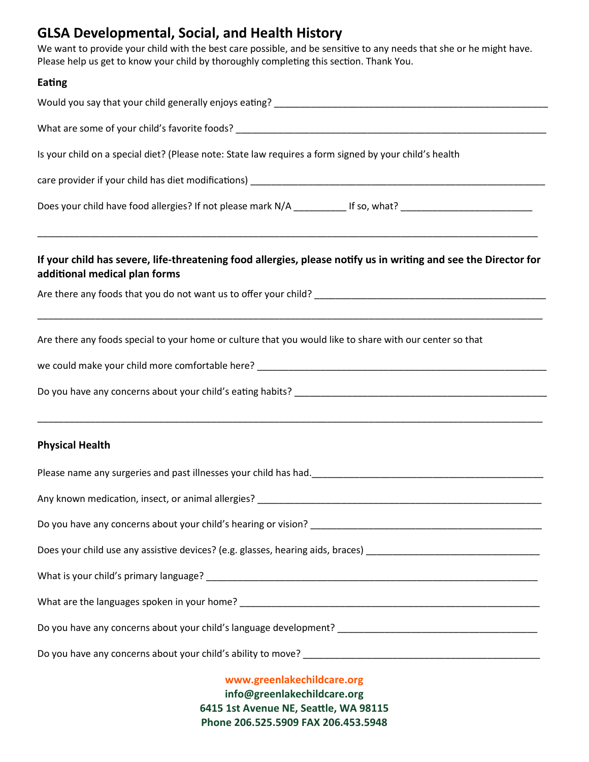# **GLSA Developmental, Social, and Health History**

We want to provide your child with the best care possible, and be sensitive to any needs that she or he might have. Please help us get to know your child by thoroughly completing this section. Thank You.

#### **Eating**

| Is your child on a special diet? (Please note: State law requires a form signed by your child's health                                           |  |  |  |  |
|--------------------------------------------------------------------------------------------------------------------------------------------------|--|--|--|--|
|                                                                                                                                                  |  |  |  |  |
| Does your child have food allergies? If not please mark N/A ___________ If so, what? _________________________                                   |  |  |  |  |
| If your child has severe, life-threatening food allergies, please notify us in writing and see the Director for<br>additional medical plan forms |  |  |  |  |
|                                                                                                                                                  |  |  |  |  |
| Are there any foods special to your home or culture that you would like to share with our center so that                                         |  |  |  |  |
|                                                                                                                                                  |  |  |  |  |
|                                                                                                                                                  |  |  |  |  |
| <b>Physical Health</b>                                                                                                                           |  |  |  |  |
|                                                                                                                                                  |  |  |  |  |
| Any known medication, insect, or animal allergies?<br>Any known medication, insect, or animal allergies?                                         |  |  |  |  |
|                                                                                                                                                  |  |  |  |  |
|                                                                                                                                                  |  |  |  |  |
|                                                                                                                                                  |  |  |  |  |
|                                                                                                                                                  |  |  |  |  |
|                                                                                                                                                  |  |  |  |  |
|                                                                                                                                                  |  |  |  |  |
| www.greenlakechildcare.org                                                                                                                       |  |  |  |  |

**info@greenlakechildcare.org 6415 1st Avenue NE, Seattle, WA 98115 Phone 206.525.5909 FAX 206.453.5948**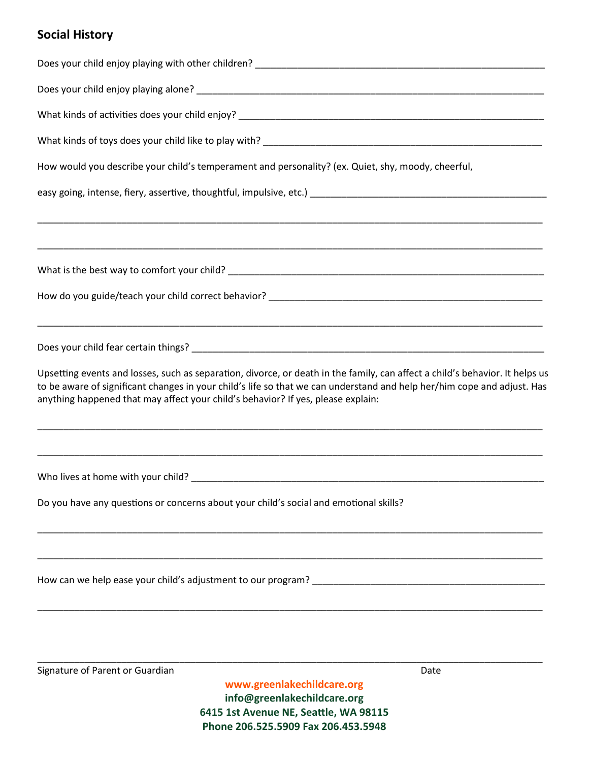## **Social History**

| www.greenlakechildcare.org                                                                                                                                                                                                                                                                                                                  |      |
|---------------------------------------------------------------------------------------------------------------------------------------------------------------------------------------------------------------------------------------------------------------------------------------------------------------------------------------------|------|
| Signature of Parent or Guardian                                                                                                                                                                                                                                                                                                             | Date |
|                                                                                                                                                                                                                                                                                                                                             |      |
|                                                                                                                                                                                                                                                                                                                                             |      |
|                                                                                                                                                                                                                                                                                                                                             |      |
|                                                                                                                                                                                                                                                                                                                                             |      |
| Do you have any questions or concerns about your child's social and emotional skills?                                                                                                                                                                                                                                                       |      |
|                                                                                                                                                                                                                                                                                                                                             |      |
| Upsetting events and losses, such as separation, divorce, or death in the family, can affect a child's behavior. It helps us<br>to be aware of significant changes in your child's life so that we can understand and help her/him cope and adjust. Has<br>anything happened that may affect your child's behavior? If yes, please explain: |      |
|                                                                                                                                                                                                                                                                                                                                             |      |
|                                                                                                                                                                                                                                                                                                                                             |      |
|                                                                                                                                                                                                                                                                                                                                             |      |
|                                                                                                                                                                                                                                                                                                                                             |      |
|                                                                                                                                                                                                                                                                                                                                             |      |
|                                                                                                                                                                                                                                                                                                                                             |      |
|                                                                                                                                                                                                                                                                                                                                             |      |
| How would you describe your child's temperament and personality? (ex. Quiet, shy, moody, cheerful,                                                                                                                                                                                                                                          |      |
|                                                                                                                                                                                                                                                                                                                                             |      |
|                                                                                                                                                                                                                                                                                                                                             |      |
|                                                                                                                                                                                                                                                                                                                                             |      |
|                                                                                                                                                                                                                                                                                                                                             |      |

**info@greenlakechildcare.org 6415 1st Avenue NE, Seattle, WA 98115 Phone 206.525.5909 Fax 206.453.5948**